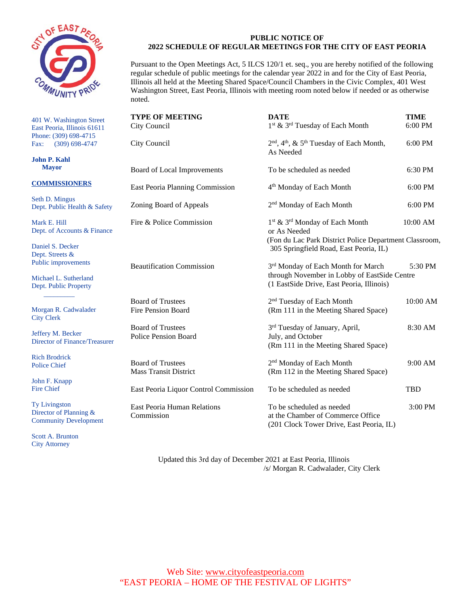

 401 W. Washington Street Fax: East Peoria, Illinois 61611 Phone: (309) 698-4715 (309) 698-4747

**John P. Kahl Mayor** 

#### **COMMISSIONERS**

Seth D. Mingus Dept. Public Health & Safety

Mark E. Hill Dept. of Accounts & Finance

Daniel S. Decker Dept. Streets & Public improvements

Michael L. Sutherland Dept. Public Property

 $\frac{1}{\sqrt{2}}$  ,  $\frac{1}{\sqrt{2}}$  ,  $\frac{1}{\sqrt{2}}$  ,  $\frac{1}{\sqrt{2}}$  ,  $\frac{1}{\sqrt{2}}$  ,  $\frac{1}{\sqrt{2}}$  ,  $\frac{1}{\sqrt{2}}$ 

 Morgan R. Cadwalader City Clerk

Jeffery M. Becker Director of Finance/Treasurer

Rich Brodrick Police Chief

John F. Knapp Fire Chief

Ty Livingston Director of Planning & Community Development

Scott A. Brunton City Attorney

#### **PUBLIC NOTICE OF 2022 SCHEDULE OF REGULAR MEETINGS FOR THE CITY OF EAST PEORIA**

 regular schedule of public meetings for the calendar year 2022 in and for the City of East Peoria, Pursuant to the Open Meetings Act, 5 ILCS 120/1 et. seq., you are hereby notified of the following Illinois all held at the Meeting Shared Space/Council Chambers in the Civic Complex, 401 West Washington Street, East Peoria, Illinois with meeting room noted below if needed or as otherwise noted.

| <b>TYPE OF MEETING</b><br>City Council                   | <b>DATE</b><br>1 <sup>st</sup> & 3 <sup>rd</sup> Tuesday of Each Month                                                                                                     | <b>TIME</b><br>6:00 PM |
|----------------------------------------------------------|----------------------------------------------------------------------------------------------------------------------------------------------------------------------------|------------------------|
| City Council                                             | 2 <sup>nd</sup> , 4 <sup>th</sup> , & 5 <sup>th</sup> Tuesday of Each Month,<br>As Needed                                                                                  | 6:00 PM                |
| Board of Local Improvements                              | To be scheduled as needed                                                                                                                                                  | 6:30 PM                |
| East Peoria Planning Commission                          | 4 <sup>th</sup> Monday of Each Month                                                                                                                                       | 6:00 PM                |
| Zoning Board of Appeals                                  | 2 <sup>nd</sup> Monday of Each Month                                                                                                                                       | 6:00 PM                |
| Fire & Police Commission                                 | 1 <sup>st</sup> & 3 <sup>rd</sup> Monday of Each Month<br>or As Needed<br>(Fon du Lac Park District Police Department Classroom,<br>305 Springfield Road, East Peoria, IL) | 10:00 AM               |
| <b>Beautification Commission</b>                         | 3rd Monday of Each Month for March<br>through November in Lobby of EastSide Centre<br>(1 EastSide Drive, East Peoria, Illinois)                                            | 5:30 PM                |
| <b>Board of Trustees</b><br><b>Fire Pension Board</b>    | 2 <sup>nd</sup> Tuesday of Each Month<br>(Rm 111 in the Meeting Shared Space)                                                                                              | 10:00 AM               |
| <b>Board of Trustees</b><br><b>Police Pension Board</b>  | 3rd Tuesday of January, April,<br>July, and October<br>(Rm 111 in the Meeting Shared Space)                                                                                | 8:30 AM                |
| <b>Board of Trustees</b><br><b>Mass Transit District</b> | 2 <sup>nd</sup> Monday of Each Month<br>(Rm 112 in the Meeting Shared Space)                                                                                               | $9:00$ AM              |
| East Peoria Liquor Control Commission                    | To be scheduled as needed                                                                                                                                                  | <b>TBD</b>             |
| East Peoria Human Relations<br>Commission                | To be scheduled as needed<br>at the Chamber of Commerce Office<br>(201 Clock Tower Drive, East Peoria, IL)                                                                 | 3:00 PM                |

 Updated this 3rd day of December 2021 at East Peoria, Illinois /s/ Morgan R. Cadwalader, City Clerk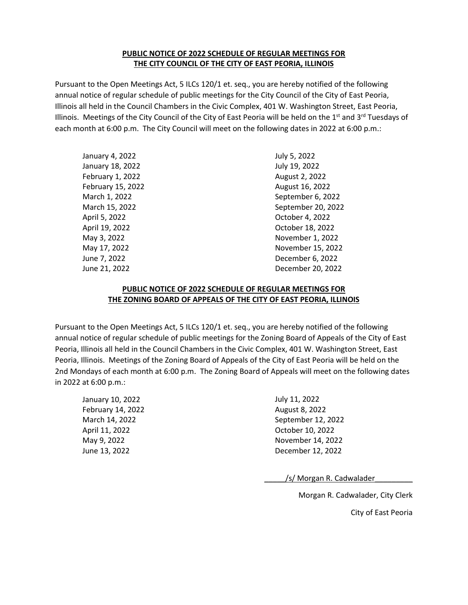## **THE CITY COUNCIL OF THE CITY OF EAST PEORIA, ILLINOIS PUBLIC NOTICE OF 2022 SCHEDULE OF REGULAR MEETINGS FOR**

 annual notice of regular schedule of public meetings for the City Council of the City of East Peoria, Illinois all held in the Council Chambers in the Civic Complex, 401 W. Washington Street, East Peoria, Illinois. Meetings of the City Council of the City of East Peoria will be held on the 1<sup>st</sup> and 3<sup>rd</sup> Tuesdays of each month at 6:00 p.m. The City Council will meet on the following dates in 2022 at 6:00 p.m.: Pursuant to the Open Meetings Act, 5 ILCs 120/1 et. seq., you are hereby notified of the following

| January 4, 2022   | July 5, 2022       |
|-------------------|--------------------|
| January 18, 2022  | July 19, 2022      |
| February 1, 2022  | August 2, 2022     |
| February 15, 2022 | August 16, 2022    |
| March 1, 2022     | September 6, 2022  |
| March 15, 2022    | September 20, 2022 |
| April 5, 2022     | October 4, 2022    |
| April 19, 2022    | October 18, 2022   |
| May 3, 2022       | November 1, 2022   |
| May 17, 2022      | November 15, 2022  |
| June 7, 2022      | December 6, 2022   |
| June 21, 2022     | December 20, 2022  |
|                   |                    |

## **PUBLIC NOTICE OF 2022 SCHEDULE OF REGULAR MEETINGS FOR THE ZONING BOARD OF APPEALS OF THE CITY OF EAST PEORIA, ILLINOIS**

 annual notice of regular schedule of public meetings for the Zoning Board of Appeals of the City of East Peoria, Illinois. Meetings of the Zoning Board of Appeals of the City of East Peoria will be held on the 2nd Mondays of each month at 6:00 p.m. The Zoning Board of Appeals will meet on the following dates Pursuant to the Open Meetings Act, 5 ILCs 120/1 et. seq., you are hereby notified of the following Peoria, Illinois all held in the Council Chambers in the Civic Complex, 401 W. Washington Street, East in 2022 at 6:00 p.m.:

| January 10, 2022  | July 11, 2022      |
|-------------------|--------------------|
| February 14, 2022 | August 8, 2022     |
| March 14, 2022    | September 12, 2022 |
| April 11, 2022    | October 10, 2022   |
| May 9, 2022       | November 14, 2022  |
| June 13, 2022     | December 12, 2022  |

/s/ Morgan R. Cadwalader

Morgan R. Cadwalader, City Clerk

City of East Peoria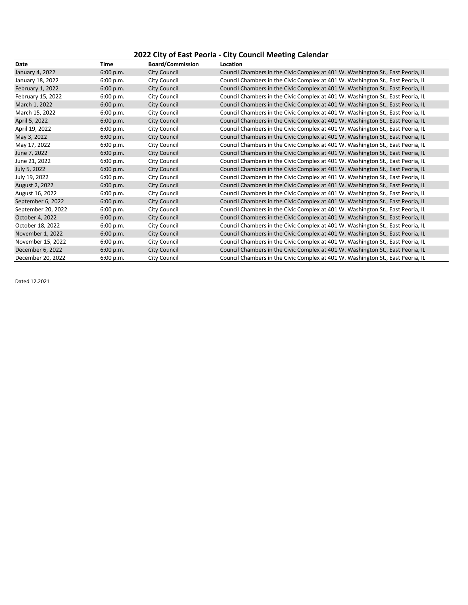# **2022 City of East Peoria - City Council Meeting Calendar**

| Date               | <b>Time</b> | <b>Board/Commission</b> | Location                                                                        |
|--------------------|-------------|-------------------------|---------------------------------------------------------------------------------|
| January 4, 2022    | 6:00 p.m.   | <b>City Council</b>     | Council Chambers in the Civic Complex at 401 W. Washington St., East Peoria, IL |
| January 18, 2022   | 6:00 p.m.   | <b>City Council</b>     | Council Chambers in the Civic Complex at 401 W. Washington St., East Peoria, IL |
| February 1, 2022   | 6:00 p.m.   | <b>City Council</b>     | Council Chambers in the Civic Complex at 401 W. Washington St., East Peoria, IL |
| February 15, 2022  | 6:00 p.m.   | City Council            | Council Chambers in the Civic Complex at 401 W. Washington St., East Peoria, IL |
| March 1, 2022      | 6:00 p.m.   | City Council            | Council Chambers in the Civic Complex at 401 W. Washington St., East Peoria, IL |
| March 15, 2022     | 6:00 p.m.   | City Council            | Council Chambers in the Civic Complex at 401 W. Washington St., East Peoria, IL |
| April 5, 2022      | 6:00 p.m.   | <b>City Council</b>     | Council Chambers in the Civic Complex at 401 W. Washington St., East Peoria, IL |
| April 19, 2022     | 6:00 p.m.   | <b>City Council</b>     | Council Chambers in the Civic Complex at 401 W. Washington St., East Peoria, IL |
| May 3, 2022        | 6:00 p.m.   | <b>City Council</b>     | Council Chambers in the Civic Complex at 401 W. Washington St., East Peoria, IL |
| May 17, 2022       | 6:00 p.m.   | City Council            | Council Chambers in the Civic Complex at 401 W. Washington St., East Peoria, IL |
| June 7, 2022       | 6:00 p.m.   | <b>City Council</b>     | Council Chambers in the Civic Complex at 401 W. Washington St., East Peoria, IL |
| June 21, 2022      | 6:00 p.m.   | City Council            | Council Chambers in the Civic Complex at 401 W. Washington St., East Peoria, IL |
| July 5, 2022       | 6:00 p.m.   | <b>City Council</b>     | Council Chambers in the Civic Complex at 401 W. Washington St., East Peoria, IL |
| July 19, 2022      | 6:00 p.m.   | City Council            | Council Chambers in the Civic Complex at 401 W. Washington St., East Peoria, IL |
| August 2, 2022     | 6:00 p.m.   | <b>City Council</b>     | Council Chambers in the Civic Complex at 401 W. Washington St., East Peoria, IL |
| August 16, 2022    | 6:00 p.m.   | City Council            | Council Chambers in the Civic Complex at 401 W. Washington St., East Peoria, IL |
| September 6, 2022  | 6:00 p.m.   | <b>City Council</b>     | Council Chambers in the Civic Complex at 401 W. Washington St., East Peoria, IL |
| September 20, 2022 | 6:00 p.m.   | City Council            | Council Chambers in the Civic Complex at 401 W. Washington St., East Peoria, IL |
| October 4, 2022    | 6:00 p.m.   | <b>City Council</b>     | Council Chambers in the Civic Complex at 401 W. Washington St., East Peoria, IL |
| October 18, 2022   | 6:00 p.m.   | City Council            | Council Chambers in the Civic Complex at 401 W. Washington St., East Peoria, IL |
| November 1, 2022   | 6:00 p.m.   | <b>City Council</b>     | Council Chambers in the Civic Complex at 401 W. Washington St., East Peoria, IL |
| November 15, 2022  | 6:00 p.m.   | <b>City Council</b>     | Council Chambers in the Civic Complex at 401 W. Washington St., East Peoria, IL |
| December 6, 2022   | 6:00 p.m.   | <b>City Council</b>     | Council Chambers in the Civic Complex at 401 W. Washington St., East Peoria, IL |
| December 20, 2022  | 6:00 p.m.   | <b>City Council</b>     | Council Chambers in the Civic Complex at 401 W. Washington St., East Peoria, IL |

Dated 12.2021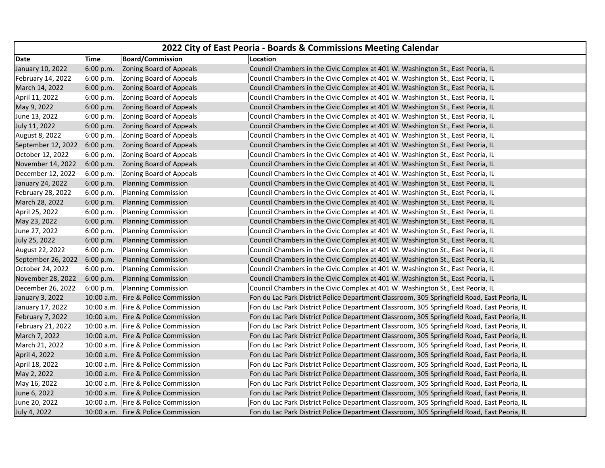| 2022 City of East Peoria - Boards & Commissions Meeting Calendar |             |                                                      |                                                                                             |
|------------------------------------------------------------------|-------------|------------------------------------------------------|---------------------------------------------------------------------------------------------|
| Date                                                             | <b>Time</b> | <b>Board/Commission</b>                              | Location                                                                                    |
| January 10, 2022                                                 | 6:00 p.m.   | <b>Zoning Board of Appeals</b>                       | Council Chambers in the Civic Complex at 401 W. Washington St., East Peoria, IL             |
| February 14, 2022                                                | 6:00 p.m.   | Zoning Board of Appeals                              | Council Chambers in the Civic Complex at 401 W. Washington St., East Peoria, IL             |
| March 14, 2022                                                   |             | 6:00 p.m. Zoning Board of Appeals                    | Council Chambers in the Civic Complex at 401 W. Washington St., East Peoria, IL             |
| April 11, 2022                                                   | 6:00 p.m.   | Zoning Board of Appeals                              | Council Chambers in the Civic Complex at 401 W. Washington St., East Peoria, IL             |
| May 9, 2022                                                      |             | 6:00 p.m. Zoning Board of Appeals                    | Council Chambers in the Civic Complex at 401 W. Washington St., East Peoria, IL             |
| June 13, 2022                                                    | 6:00 p.m.   | Zoning Board of Appeals                              | Council Chambers in the Civic Complex at 401 W. Washington St., East Peoria, IL             |
| July 11, 2022                                                    |             | 6:00 p.m. Zoning Board of Appeals                    | Council Chambers in the Civic Complex at 401 W. Washington St., East Peoria, IL             |
| August 8, 2022                                                   | 6:00 p.m.   | Zoning Board of Appeals                              | Council Chambers in the Civic Complex at 401 W. Washington St., East Peoria, IL             |
|                                                                  |             | September 12, 2022 6:00 p.m. Zoning Board of Appeals | Council Chambers in the Civic Complex at 401 W. Washington St., East Peoria, IL             |
| October 12, 2022                                                 | 6:00 p.m.   | Zoning Board of Appeals                              | Council Chambers in the Civic Complex at 401 W. Washington St., East Peoria, IL             |
| November 14, 2022                                                |             | 6:00 p.m. Zoning Board of Appeals                    | Council Chambers in the Civic Complex at 401 W. Washington St., East Peoria, IL             |
| December 12, 2022                                                | 6:00 p.m.   | Zoning Board of Appeals                              | Council Chambers in the Civic Complex at 401 W. Washington St., East Peoria, IL             |
| January 24, 2022                                                 | 6:00 p.m.   | <b>Planning Commission</b>                           | Council Chambers in the Civic Complex at 401 W. Washington St., East Peoria, IL             |
| February 28, 2022                                                | 6:00 p.m.   | Planning Commission                                  | Council Chambers in the Civic Complex at 401 W. Washington St., East Peoria, IL             |
| March 28, 2022                                                   | 6:00 p.m.   | <b>Planning Commission</b>                           | Council Chambers in the Civic Complex at 401 W. Washington St., East Peoria, IL             |
| April 25, 2022                                                   | 6:00 p.m.   | Planning Commission                                  | Council Chambers in the Civic Complex at 401 W. Washington St., East Peoria, IL             |
| May 23, 2022                                                     | 6:00 p.m.   | <b>Planning Commission</b>                           | Council Chambers in the Civic Complex at 401 W. Washington St., East Peoria, IL             |
| June 27, 2022                                                    | 6:00 p.m.   | Planning Commission                                  | Council Chambers in the Civic Complex at 401 W. Washington St., East Peoria, IL             |
| July 25, 2022                                                    | 6:00 p.m.   | <b>Planning Commission</b>                           | Council Chambers in the Civic Complex at 401 W. Washington St., East Peoria, IL             |
| August 22, 2022                                                  | 6:00 p.m.   | Planning Commission                                  | Council Chambers in the Civic Complex at 401 W. Washington St., East Peoria, IL             |
| September 26, 2022 6:00 p.m.                                     |             | <b>Planning Commission</b>                           | Council Chambers in the Civic Complex at 401 W. Washington St., East Peoria, IL             |
| October 24, 2022                                                 | 6:00 p.m.   | Planning Commission                                  | Council Chambers in the Civic Complex at 401 W. Washington St., East Peoria, IL             |
| November 28, 2022                                                | 6:00 p.m.   | <b>Planning Commission</b>                           | Council Chambers in the Civic Complex at 401 W. Washington St., East Peoria, IL             |
| December 26, 2022                                                | 6:00 p.m.   | Planning Commission                                  | Council Chambers in the Civic Complex at 401 W. Washington St., East Peoria, IL             |
| January 3, 2022                                                  |             | 10:00 a.m. Fire & Police Commission                  | Fon du Lac Park District Police Department Classroom, 305 Springfield Road, East Peoria, IL |
| January 17, 2022                                                 |             | 10:00 a.m. Fire & Police Commission                  | Fon du Lac Park District Police Department Classroom, 305 Springfield Road, East Peoria, IL |
| February 7, 2022                                                 |             | 10:00 a.m. Fire & Police Commission                  | Fon du Lac Park District Police Department Classroom, 305 Springfield Road, East Peoria, IL |
| February 21, 2022                                                |             | 10:00 a.m. Fire & Police Commission                  | Fon du Lac Park District Police Department Classroom, 305 Springfield Road, East Peoria, IL |
| March 7, 2022                                                    |             | 10:00 a.m. Fire & Police Commission                  | Fon du Lac Park District Police Department Classroom, 305 Springfield Road, East Peoria, IL |
| March 21, 2022                                                   |             | 10:00 a.m. Fire & Police Commission                  | Fon du Lac Park District Police Department Classroom, 305 Springfield Road, East Peoria, IL |
| April 4, 2022                                                    |             | 10:00 a.m. Fire & Police Commission                  | Fon du Lac Park District Police Department Classroom, 305 Springfield Road, East Peoria, IL |
| April 18, 2022                                                   |             | 10:00 a.m. Fire & Police Commission                  | Fon du Lac Park District Police Department Classroom, 305 Springfield Road, East Peoria, IL |
| May 2, 2022                                                      |             | 10:00 a.m. Fire & Police Commission                  | Fon du Lac Park District Police Department Classroom, 305 Springfield Road, East Peoria, IL |
| May 16, 2022                                                     |             | 10:00 a.m. Fire & Police Commission                  | Fon du Lac Park District Police Department Classroom, 305 Springfield Road, East Peoria, IL |
| June 6, 2022                                                     |             | 10:00 a.m. Fire & Police Commission                  | Fon du Lac Park District Police Department Classroom, 305 Springfield Road, East Peoria, IL |
| June 20, 2022                                                    |             | 10:00 a.m. Fire & Police Commission                  | Fon du Lac Park District Police Department Classroom, 305 Springfield Road, East Peoria, IL |
| July 4, 2022                                                     |             | 10:00 a.m. Fire & Police Commission                  | Fon du Lac Park District Police Department Classroom, 305 Springfield Road, East Peoria, IL |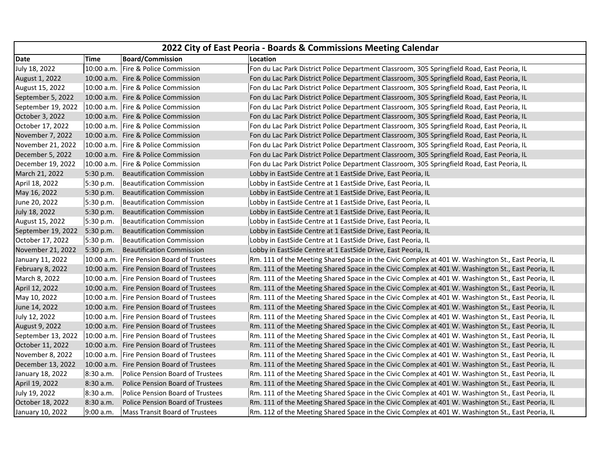| 2022 City of East Peoria - Boards & Commissions Meeting Calendar |             |                                           |                                                                                                    |
|------------------------------------------------------------------|-------------|-------------------------------------------|----------------------------------------------------------------------------------------------------|
| Date                                                             | Time        | <b>Board/Commission</b>                   | Location                                                                                           |
| July 18, 2022                                                    |             | 10:00 a.m. Fire & Police Commission       | Fon du Lac Park District Police Department Classroom, 305 Springfield Road, East Peoria, IL        |
| August 1, 2022                                                   |             | 10:00 a.m. Fire & Police Commission       | Fon du Lac Park District Police Department Classroom, 305 Springfield Road, East Peoria, IL        |
| August 15, 2022                                                  |             | 10:00 a.m. Fire & Police Commission       | Fon du Lac Park District Police Department Classroom, 305 Springfield Road, East Peoria, IL        |
| September 5, 2022                                                |             | 10:00 a.m. Fire & Police Commission       | Fon du Lac Park District Police Department Classroom, 305 Springfield Road, East Peoria, IL        |
| September 19, 2022                                               |             | 10:00 a.m. Fire & Police Commission       | Fon du Lac Park District Police Department Classroom, 305 Springfield Road, East Peoria, IL        |
| October 3, 2022                                                  |             | 10:00 a.m. Fire & Police Commission       | Fon du Lac Park District Police Department Classroom, 305 Springfield Road, East Peoria, IL        |
| October 17, 2022                                                 |             | 10:00 a.m. Fire & Police Commission       | Fon du Lac Park District Police Department Classroom, 305 Springfield Road, East Peoria, IL        |
| November 7, 2022                                                 |             | 10:00 a.m. Fire & Police Commission       | Fon du Lac Park District Police Department Classroom, 305 Springfield Road, East Peoria, IL        |
| November 21, 2022                                                |             | 10:00 a.m. Fire & Police Commission       | Fon du Lac Park District Police Department Classroom, 305 Springfield Road, East Peoria, IL        |
| December 5, 2022                                                 |             | 10:00 a.m. Fire & Police Commission       | Fon du Lac Park District Police Department Classroom, 305 Springfield Road, East Peoria, IL        |
| December 19, 2022                                                |             | 10:00 a.m. Fire & Police Commission       | Fon du Lac Park District Police Department Classroom, 305 Springfield Road, East Peoria, IL        |
| March 21, 2022                                                   | 5:30 p.m.   | <b>Beautification Commission</b>          | Lobby in EastSide Centre at 1 EastSide Drive, East Peoria, IL                                      |
| April 18, 2022                                                   | 5:30 p.m.   | Beautification Commission                 | Lobby in EastSide Centre at 1 EastSide Drive, East Peoria, IL                                      |
| May 16, 2022                                                     | $5:30$ p.m. | <b>Beautification Commission</b>          | Lobby in EastSide Centre at 1 EastSide Drive, East Peoria, IL                                      |
| June 20, 2022                                                    | 5:30 p.m.   | <b>Beautification Commission</b>          | Lobby in EastSide Centre at 1 EastSide Drive, East Peoria, IL                                      |
| July 18, 2022                                                    | 5:30 p.m.   | <b>Beautification Commission</b>          | Lobby in EastSide Centre at 1 EastSide Drive, East Peoria, IL                                      |
| August 15, 2022                                                  | 5:30 p.m.   | <b>Beautification Commission</b>          | Lobby in EastSide Centre at 1 EastSide Drive, East Peoria, IL                                      |
| September 19, 2022 5:30 p.m.                                     |             | <b>Beautification Commission</b>          | Lobby in EastSide Centre at 1 EastSide Drive, East Peoria, IL                                      |
| October 17, 2022                                                 | 5:30 p.m.   | Beautification Commission                 | Lobby in EastSide Centre at 1 EastSide Drive, East Peoria, IL                                      |
| November 21, 2022                                                | 5:30 p.m.   | <b>Beautification Commission</b>          | Lobby in EastSide Centre at 1 EastSide Drive, East Peoria, IL                                      |
| January 11, 2022                                                 |             | 10:00 a.m. Fire Pension Board of Trustees | Rm. 111 of the Meeting Shared Space in the Civic Complex at 401 W. Washington St., East Peoria, IL |
| February 8, 2022                                                 |             | 10:00 a.m. Fire Pension Board of Trustees | Rm. 111 of the Meeting Shared Space in the Civic Complex at 401 W. Washington St., East Peoria, IL |
| March 8, 2022                                                    |             | 10:00 a.m. Fire Pension Board of Trustees | Rm. 111 of the Meeting Shared Space in the Civic Complex at 401 W. Washington St., East Peoria, IL |
| April 12, 2022                                                   |             | 10:00 a.m. Fire Pension Board of Trustees | Rm. 111 of the Meeting Shared Space in the Civic Complex at 401 W. Washington St., East Peoria, IL |
| May 10, 2022                                                     |             | 10:00 a.m. Fire Pension Board of Trustees | Rm. 111 of the Meeting Shared Space in the Civic Complex at 401 W. Washington St., East Peoria, IL |
| June 14, 2022                                                    |             | 10:00 a.m. Fire Pension Board of Trustees | Rm. 111 of the Meeting Shared Space in the Civic Complex at 401 W. Washington St., East Peoria, IL |
| July 12, 2022                                                    |             | 10:00 a.m. Fire Pension Board of Trustees | Rm. 111 of the Meeting Shared Space in the Civic Complex at 401 W. Washington St., East Peoria, IL |
| August 9, 2022                                                   |             | 10:00 a.m. Fire Pension Board of Trustees | Rm. 111 of the Meeting Shared Space in the Civic Complex at 401 W. Washington St., East Peoria, IL |
| September 13, 2022                                               |             | 10:00 a.m. Fire Pension Board of Trustees | Rm. 111 of the Meeting Shared Space in the Civic Complex at 401 W. Washington St., East Peoria, IL |
| October 11, 2022                                                 |             | 10:00 a.m. Fire Pension Board of Trustees | Rm. 111 of the Meeting Shared Space in the Civic Complex at 401 W. Washington St., East Peoria, IL |
| November 8, 2022                                                 |             | 10:00 a.m. Fire Pension Board of Trustees | Rm. 111 of the Meeting Shared Space in the Civic Complex at 401 W. Washington St., East Peoria, IL |
| December 13, 2022                                                |             | 10:00 a.m. Fire Pension Board of Trustees | Rm. 111 of the Meeting Shared Space in the Civic Complex at 401 W. Washington St., East Peoria, IL |
| January 18, 2022                                                 | 8:30 a.m.   | Police Pension Board of Trustees          | Rm. 111 of the Meeting Shared Space in the Civic Complex at 401 W. Washington St., East Peoria, IL |
| April 19, 2022                                                   | 8:30 a.m.   | <b>Police Pension Board of Trustees</b>   | Rm. 111 of the Meeting Shared Space in the Civic Complex at 401 W. Washington St., East Peoria, IL |
| July 19, 2022                                                    | 8:30 a.m.   | <b>Police Pension Board of Trustees</b>   | Rm. 111 of the Meeting Shared Space in the Civic Complex at 401 W. Washington St., East Peoria, IL |
| October 18, 2022                                                 | 8:30a.m.    | <b>Police Pension Board of Trustees</b>   | Rm. 111 of the Meeting Shared Space in the Civic Complex at 401 W. Washington St., East Peoria, IL |
| January 10, 2022                                                 | 9:00 a.m.   | <b>Mass Transit Board of Trustees</b>     | Rm. 112 of the Meeting Shared Space in the Civic Complex at 401 W. Washington St., East Peoria, IL |